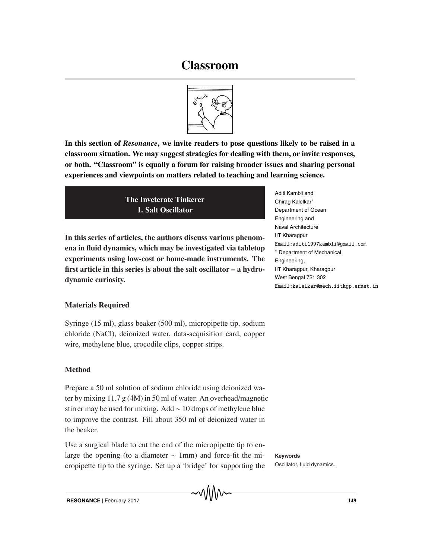# **Classroom**



**In this section of** *Resonance***, we invite readers to pose questions likely to be raised in a classroom situation. We may suggest strategies for dealing with them, or invite responses, or both. "Classroom" is equally a forum for raising broader issues and sharing personal experiences and viewpoints on matters related to teaching and learning science.**

> **The Inveterate Tinkerer 1. Salt Oscillator**

**In this series of articles, the authors discuss various phenomena in fluid dynamics, which may be investigated via tabletop experiments using low-cost or home-made instruments. The first article in this series is about the salt oscillator – a hydrodynamic curiosity.**

Aditi Kambli and Chirag Kalelkar∗ Department of Ocean Engineering and Naval Architecture IIT Kharagpur Email:aditi1997kambli@gmail.com ∗ Department of Mechanical Engineering, IIT Kharagpur, Kharagpur West Bengal 721 302 Email:kalelkar@mech.iitkgp.ernet.in

## **Materials Required**

Syringe (15 ml), glass beaker (500 ml), micropipette tip, sodium chloride (NaCl), deionized water, data-acquisition card, copper wire, methylene blue, crocodile clips, copper strips.

### **Method**

Prepare a 50 ml solution of sodium chloride using deionized water by mixing 11.7 g (4M) in 50 ml of water. An overhead/magnetic stirrer may be used for mixing. Add ∼ 10 drops of methylene blue to improve the contrast. Fill about 350 ml of deionized water in the beaker.

Use a surgical blade to cut the end of the micropipette tip to enlarge the opening (to a diameter ~ 1mm) and force-fit the mi-<br> **Keywords** cropipette tip to the syringe. Set up a 'bridge' for supporting the

Oscillator, fluid dynamics.

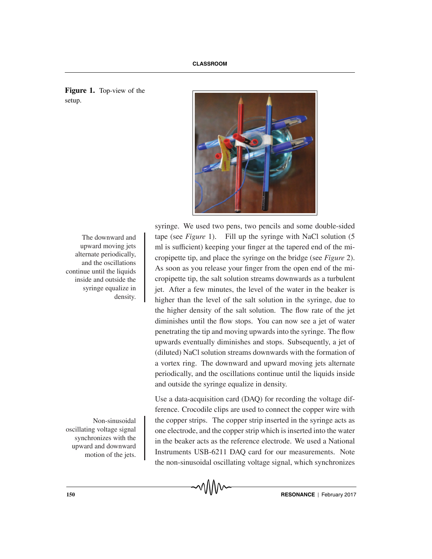

syringe. We used two pens, two pencils and some double-sided The downward and  $\qquad$  tape (see *Figure* 1). Fill up the syringe with NaCl solution (5 ml is sufficient) keeping your finger at the tapered end of the micropipette tip, and place the syringe on the bridge (see *Figure* 2). As soon as you release your finger from the open end of the micropipette tip, the salt solution streams downwards as a turbulent jet. After a few minutes, the level of the water in the beaker is higher than the level of the salt solution in the syringe, due to the higher density of the salt solution. The flow rate of the jet diminishes until the flow stops. You can now see a jet of water penetrating the tip and moving upwards into the syringe. The flow upwards eventually diminishes and stops. Subsequently, a jet of (diluted) NaCl solution streams downwards with the formation of a vortex ring. The downward and upward moving jets alternate periodically, and the oscillations continue until the liquids inside and outside the syringe equalize in density.

Use a data-acquisition card (DAQ) for recording the voltage difference. Crocodile clips are used to connect the copper wire with Non-sinusoidal the copper strips. The copper strip inserted in the syringe acts as one electrode, and the copper strip which is inserted into the water in the beaker acts as the reference electrode. We used a National Instruments USB-6211 DAQ card for our measurements. Note the non-sinusoidal oscillating voltage signal, which synchronizes

**Figure 1.** Top-view of the setup.

upward moving jets alternate periodically, and the oscillations continue until the liquids inside and outside the syringe equalize in density.

oscillating voltage signal synchronizes with the upward and downward motion of the jets.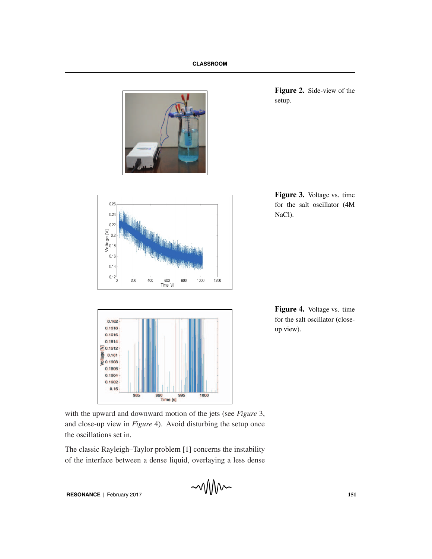





**Figure 2.** Side-view of the setup.

**Figure 3.** Voltage vs. time for the salt oscillator (4M NaCl).

**Figure 4.** Voltage vs. time for the salt oscillator (closeup view).

with the upward and downward motion of the jets (see *Figure* 3, and close-up view in *Figure* 4). Avoid disturbing the setup once the oscillations set in.

The classic Rayleigh–Taylor problem [1] concerns the instability of the interface between a dense liquid, overlaying a less dense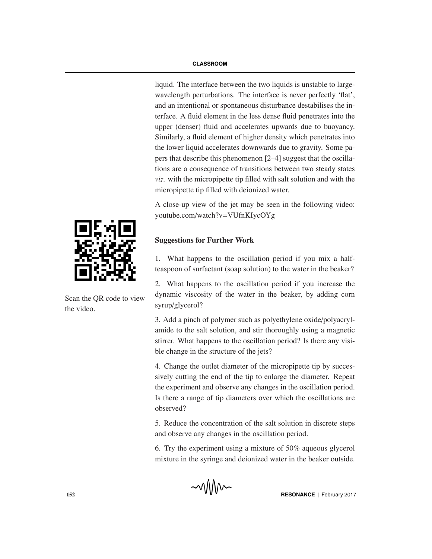liquid. The interface between the two liquids is unstable to largewavelength perturbations. The interface is never perfectly 'flat', and an intentional or spontaneous disturbance destabilises the interface. A fluid element in the less dense fluid penetrates into the upper (denser) fluid and accelerates upwards due to buoyancy. Similarly, a fluid element of higher density which penetrates into the lower liquid accelerates downwards due to gravity. Some papers that describe this phenomenon [2–4] suggest that the oscillations are a consequence of transitions between two steady states *viz.* with the micropipette tip filled with salt solution and with the micropipette tip filled with deionized water.

A close-up view of the jet may be seen in the following video: youtube.com/watch?v=VUfnKIycOYg

# **Suggestions for Further Work**

1. What happens to the oscillation period if you mix a halfteaspoon of surfactant (soap solution) to the water in the beaker?

2. What happens to the oscillation period if you increase the dynamic viscosity of the water in the beaker, by adding corn syrup/glycerol?

3. Add a pinch of polymer such as polyethylene oxide/polyacrylamide to the salt solution, and stir thoroughly using a magnetic stirrer. What happens to the oscillation period? Is there any visible change in the structure of the jets?

4. Change the outlet diameter of the micropipette tip by successively cutting the end of the tip to enlarge the diameter. Repeat the experiment and observe any changes in the oscillation period. Is there a range of tip diameters over which the oscillations are observed?

5. Reduce the concentration of the salt solution in discrete steps and observe any changes in the oscillation period.

6. Try the experiment using a mixture of 50% aqueous glycerol mixture in the syringe and deionized water in the beaker outside.



Scan the QR code to view the video.